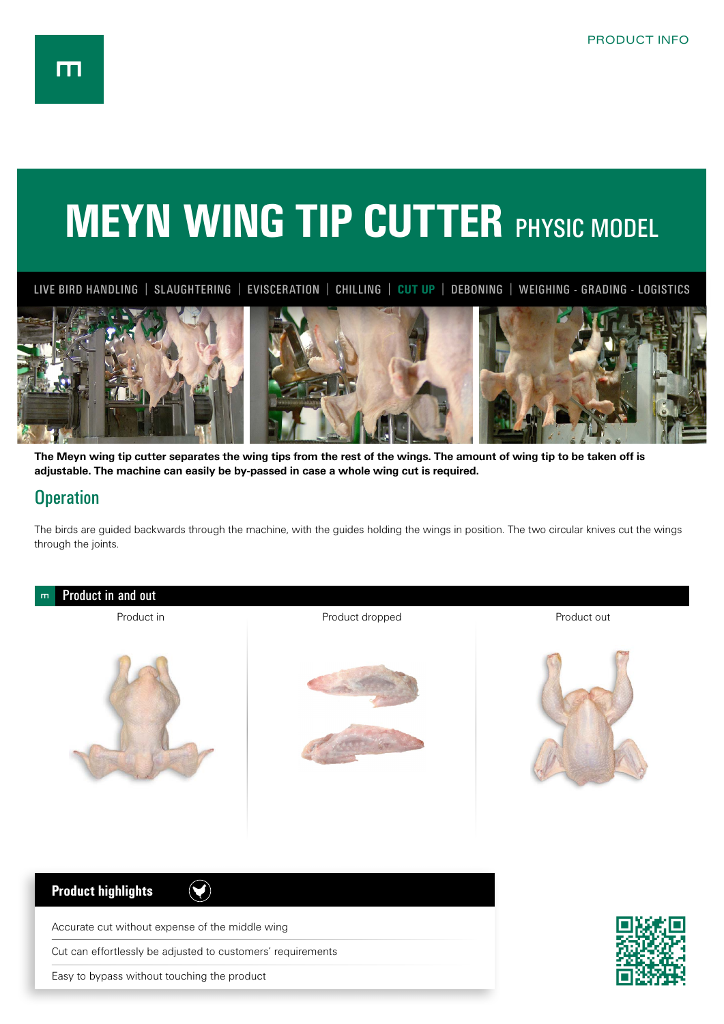## **MEYN WING TIP CUTTER PHYSIC MODEL**

LIVE BIRD HANDLING | SLAUGHTERING | EVISCERATION | CHILLING | **CUT UP** | DEBONING | WEIGHING - GRADING - LOGISTICS



**The Meyn wing tip cutter separates the wing tips from the rest of the wings. The amount of wing tip to be taken off is adjustable. The machine can easily be by-passed in case a whole wing cut is required.**

## **Operation**

The birds are guided backwards through the machine, with the guides holding the wings in position. The two circular knives cut the wings through the joints.



Cut can effortlessly be adjusted to customers' requirements

Easy to bypass without touching the product